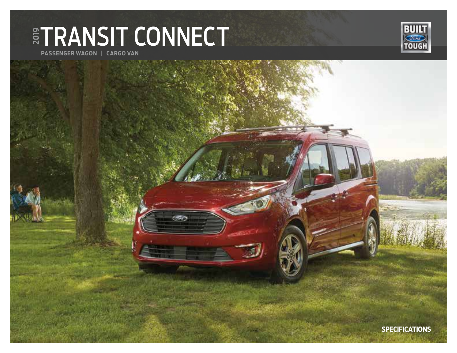# **ETRANSIT CONNECT**



**PASSENGER WAGON** | **CARGO VAN**

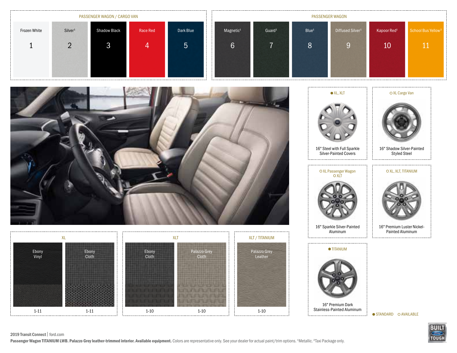| PASSENGER WAGON / CARGO VAN |                     |                     |          | <b>PASSENGER WAGON</b> |                           |                       |                    |                   |                              |                         |                                |
|-----------------------------|---------------------|---------------------|----------|------------------------|---------------------------|-----------------------|--------------------|-------------------|------------------------------|-------------------------|--------------------------------|
| Frozen White                | Silver <sup>1</sup> | <b>Shadow Black</b> | Race Red | Dark Blue              | $\mathbf{u}$ $\mathbf{u}$ | Magnetic <sup>1</sup> | Guard <sup>1</sup> | Blue <sup>1</sup> | Diffused Silver <sup>1</sup> | Kapoor Red <sup>1</sup> | School Bus Yellow <sup>2</sup> |
|                             |                     | ◡                   |          | <u>'5</u>              |                           | $\sim$<br>6           |                    | 8                 |                              | 10                      |                                |
|                             |                     |                     |          |                        |                           |                       |                    |                   |                              |                         |                                |







16" Premium Dark Stainless-Painted Aluminum

. . . . . . . . . . . . . . . . . . .

 $\bullet$  STANDARD  $\circ$  AVAILABLE



2019 Transit Connect| ford.com

Passenger Wagon TITANIUM LWB. Palazzo Grey leather-trimmed interior. Available equipment. Colors are representative only. See your dealer for actual paint/trim options. <sup>1</sup>Metallic. <sup>2</sup>Taxi Package only.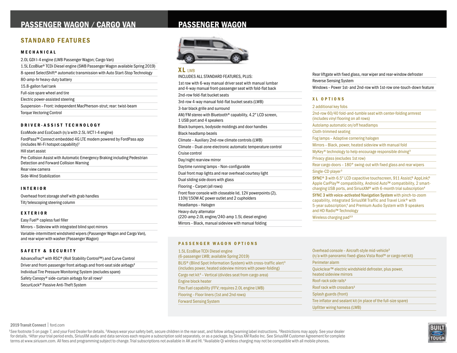## PASSENGER WAGON / CARGO VAN PASSENGER WAGON

## STANDARD FEATURES

#### MECHANICAL

| 2.0L GDI I-4 engine (LWB Passenger Wagon; Cargo Van)                         |
|------------------------------------------------------------------------------|
| 1.5L EcoBlue® TCDi Diesel engine (SWB Passenger Wagon available Spring 2019) |
| 8-speed SelectShift® automatic transmission with Auto Start-Stop Technology  |
| 80-amp-hr heavy-duty battery                                                 |
| 15.8-gallon fuel tank                                                        |
| Full-size spare wheel and tire                                               |
| Electric power-assisted steering                                             |
| Suspension - Front: independent MacPherson-strut; rear: twist-beam           |
| <b>Torque Vectoring Control</b>                                              |

#### DRIVER-ASSIST TECHNOLOGY

EcoMode and EcoCoach (n/a with 2.5L iVCT I-4 engine)

FordPass™ Connect embedded 4G LTE modem powered by FordPass app (includes Wi-Fi hotspot capability)<sup>1</sup>

Hill start assist

Pre-Collision Assist with Automatic Emergency Braking including Pedestrian Detection and Forward Collision Warning

Rear view camera

Side-Wind Stabilization

#### INTERIOR

Overhead front storage shelf with grab handles

Tilt/telescoping steering column

#### EXTERIOR

Easy Fuel® capless fuel filler

Mirrors – Sideview with integrated blind spot mirrors

Variable-intermittent windshield wipers (Passenger Wagon and Cargo Van), and rear wiper with washer (Passenger Wagon)

#### SAFETY & SECURITY

| AdvanceTrac® with RSC® (Roll Stability Control™) and Curve Control |  |
|--------------------------------------------------------------------|--|
|--------------------------------------------------------------------|--|

Driver and front-passenger front airbags and front-seat side airbags<sup>2</sup>

Individual Tire Pressure Monitoring System (excludes spare)

Safety Canopy® side-curtain airbags for all rows<sup>2</sup>

SecuriLock® Passive Anti-Theft System



 $XL$  LWB INCLUDES ALL STANDARD FEATURES, PLUS: 1st row with 6-way manual driver seat with manual lumbar and 4-way manual front-passenger seat with fold-flat back 2nd-row fold-flat bucket seats 3rd-row 4-way manual fold-flat bucket seats (LWB) 3-bar black grille and surround AM/FM stereo with Bluetooth® capability, 4.2" LCD screen, 1 USB port and 4 speakers Black bumpers, bodyside moldings and door handles Black headlamp bezels Climate – Auxiliary 2nd-row climate controls (LWB) Climate – Dual-zone electronic automatic temperature control Cruise control Day/night rearview mirror Daytime running lamps – Non-configurable Dual front map lights and rear overhead courtesy light Dual sliding side doors with glass Flooring – Carpet (all rows) Front floor console with closeable lid, 12V powerpoints (2), 110V/150W AC power outlet and 2 cupholders Headlamps – Halogen Heavy-duty alternator (220-amp 2.0L engine/240-amp 1.5L diesel engine) Mirrors – Black, manual sideview with manual folding

#### PASSENGER WAGON OPTIONS

| 1.5L EcoBlue TCDi Diesel engine<br>(6-passenger LWB; available Spring 2019)                                                                             |  |
|---------------------------------------------------------------------------------------------------------------------------------------------------------|--|
| BLIS <sup>®</sup> (Blind Spot Information System) with cross-traffic alert <sup>3</sup><br>(includes power, heated sideview mirrors with power-folding) |  |
| Cargo net kit <sup>3</sup> - Vertical (divides seat from cargo area)                                                                                    |  |
| Engine block heater                                                                                                                                     |  |
| Flex Fuel capability (FFV; requires 2.0L engine LWB)                                                                                                    |  |
| Flooring - Floor liners (1st and 2nd rows)                                                                                                              |  |
| <b>Forward Sensing System</b>                                                                                                                           |  |

| Rear liftgate with fixed glass, rear wiper and rear-window defroster |  |  |  |  |  |
|----------------------------------------------------------------------|--|--|--|--|--|
| <b>Reverse Sensing System</b>                                        |  |  |  |  |  |
| Windows - Power 1st- and 2nd-row with 1st-row one-touch-down feature |  |  |  |  |  |

#### XL OPTIONS

2 additional key fobs 2nd-row 60/40 fold-and-tumble seat with center-folding armrest (includes vinyl flooring on all rows) Autolamp automatic on/off headlamps Cloth-trimmed seating Fog lamps – Adaptive cornering halogen Mirrors – Black, power, heated sideview with manual fold MyKey® technology to help encourage responsible driving<sup>3</sup> Privacy glass (excludes 1st row) Rear cargo doors – 180° swing-out with fixed glass and rear wipers Single-CD player<sup>3</sup> SYNC<sup>®</sup> 3 with 6.5" LCD capacitive touchscreen, 911 Assist,<sup>®</sup> AppLink,<sup>®</sup> Apple CarPlay™ compatibility, Android Auto™ compatibility, 2 smartcharging USB ports, and SiriusXM® with 6-month trial subscription<sup>4</sup> SYNC 3 with voice-activated Navigation System with pinch-to-zoom capability, integrated SiriusXM Traffic and Travel Link® with 5-year subscription,<sup>4</sup> and Premium Audio System with 9 speakers and HD Radio™ Technology

Wireless charging pad<sup>3,5</sup>

| Overhead console – Aircraft-style mid-vehicle <sup>3</sup><br>(n/a with panoramic fixed-glass Vista Roof <sup>®</sup> or cargo net kit) |  |
|-----------------------------------------------------------------------------------------------------------------------------------------|--|
| Perimeter alarm                                                                                                                         |  |
| Quickclear™ electric windshield defroster, plus power,<br>heated sideview mirrors                                                       |  |
| Roof-rack side rails <sup>3</sup>                                                                                                       |  |
| Roof rack with crossbars <sup>3</sup>                                                                                                   |  |
| Splash guards (front)                                                                                                                   |  |
| Tire inflator and sealant kit (in place of the full-size spare)                                                                         |  |
| Upfitter wiring harness (LWB)                                                                                                           |  |

#### 2019 Transit Connect | ford.com

<sup>1</sup>See footnote 5 on page 7, and your Ford Dealer for details. <sup>2</sup>Always wear your safety belt, secure children in the rear seat, and follow airbag warning label instructions. <sup>3</sup>Restrictions may apply. See your dealer for details. <sup>4</sup> After your trial period ends, SiriusXM audio and data services each require a subscription sold separately, or as a package, by Sirius XM Radio Inc. See SiriusXM Customer Agreement for complete terms at www.siriusxm.com. All fees and programming subject to change. Trial subscriptions not available in AK and HI. <sup>5</sup>Available Qi wireless charging may not be compatible with all mobile phones.

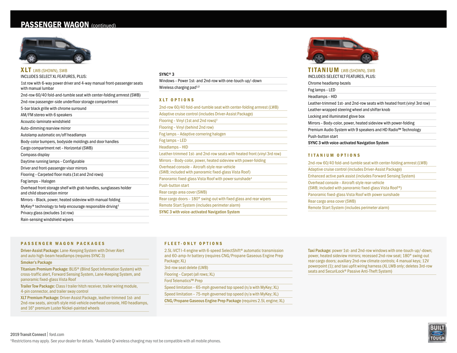## PASSENGER WAGON (continued)



| <b>XLT</b> LWB (SHOWN), SWB                                                                       |
|---------------------------------------------------------------------------------------------------|
| INCLUDES SELECT XL FEATURES, PLUS:                                                                |
| 1st row with 6-way power driver and 4-way manual front-passenger seats<br>with manual lumbar      |
| 2nd-row 60/40 fold-and-tumble seat with center-folding armrest (SWB)                              |
| 2nd-row passenger-side underfloor storage compartment                                             |
| 5-bar black grille with chrome surround                                                           |
| AM/FM stereo with 6 speakers                                                                      |
| Acoustic-laminate windshield                                                                      |
| Auto-dimming rearview mirror                                                                      |
| Autolamp automatic on/off headlamps                                                               |
| Body-color bumpers, bodyside moldings and door handles                                            |
| Cargo compartment net - Horizontal (SWB)                                                          |
| Compass display                                                                                   |
| Daytime running lamps - Configurable                                                              |
| Driver and front-passenger visor mirrors                                                          |
| Flooring - Carpeted floor mats (1st and 2nd rows)                                                 |
| Fog lamps - Halogen                                                                               |
| Overhead front storage shelf with grab handles, sunglasses holder<br>and child observation mirror |
| Mirrors - Black, power, heated sideview with manual folding                                       |
| MyKey® technology to help encourage responsible driving <sup>1</sup>                              |
| Privacy glass (excludes 1st row)                                                                  |
| Rain-sensing windshield wipers                                                                    |
|                                                                                                   |

#### SYNC® 3

Windows – Power 1st- and 2nd-row with one-touch-up/-down Wireless charging pad<sup>1,2</sup>

#### XLT OPTIONS

| 2nd-row 60/40 fold-and-tumble seat with center-folding armrest (LWB)                                    |
|---------------------------------------------------------------------------------------------------------|
| Adaptive cruise control (includes Driver-Assist Package)                                                |
| Flooring – Vinyl (1st and 2nd rows) <sup>1</sup>                                                        |
| Flooring – Vinyl (behind 2nd row)                                                                       |
| Fog lamps – Adaptive cornering halogen                                                                  |
| Fog lamps - LED                                                                                         |
| Headlamps - HID                                                                                         |
| Leather-trimmed 1st- and 2nd-row seats with heated front (vinyl 3rd row)                                |
| Mirrors – Body-color, power, heated sideview with power-folding                                         |
| Overhead console - Aircraft-style rear-vehicle<br>(SWB; included with panoramic fixed-glass Vista Roof) |
| Panoramic fixed-glass Vista Roof with power sunshade <sup>1</sup>                                       |
| Push-button start                                                                                       |
| Rear cargo area cover (SWB)                                                                             |
| Rear cargo doors – 180° swing-out with fixed glass and rear wipers                                      |
| Remote Start System (includes perimeter alarm)                                                          |
| <b>SYNC 3 with voice-activated Navigation System</b>                                                    |



#### TITANIUM LWB (SHOWN), SWB INCLUDES SELECT XLT FEATURES, PLUS:

| Chrome headlamp bezels                                                   |
|--------------------------------------------------------------------------|
| Fog lamps - LED                                                          |
| Headlamps - HID                                                          |
| Leather-trimmed 1st- and 2nd-row seats with heated front (vinyl 3rd row) |
| Leather-wrapped steering wheel and shifter knob                          |
| Locking and illuminated glove box                                        |
| Mirrors - Body-color, power, heated sideview with power-folding          |
| Premium Audio System with 9 speakers and HD Radio™ Technology            |
| Push-button start                                                        |
| SYNC 3 with voice-activated Navigation System                            |
|                                                                          |

#### TITANIUM OPTIONS

| 2nd-row 60/40 fold-and-tumble seat with center-folding armrest (LWB)                                     |
|----------------------------------------------------------------------------------------------------------|
| Adaptive cruise control (includes Driver-Assist Package)                                                 |
| Enhanced active park assist (includes Forward Sensing System)                                            |
| Overhead console - Aircraft-style rear-vehicle<br>(SWB; included with panoramic fixed-glass Vista Roof®) |
| Panoramic fixed-glass Vista Roof with power sunshade                                                     |
| Rear cargo area cover (SWB)                                                                              |
| Remote Start System (includes perimeter alarm)                                                           |

#### PASSENGER WAGON PACKAGES

Driver-Assist Package: Lane-Keeping System with Driver Alert and auto high-beam headlamps (requires SYNC 3)

#### Smoker's Package

Titanium Premium Package: BLIS® (Blind Spot Information System) with cross-traffic alert, Forward Sensing System, Lane-Keeping System, and panoramic fixed-glass Vista Roof

Trailer Tow Package: Class I trailer hitch receiver, trailer wiring module, 4-pin connector, and trailer sway control

XLT Premium Package: Driver-Assist Package, leather-trimmed 1st- and 2nd-row seats, aircraft-style mid-vehicle overhead console, HID headlamps, and 16" premium Luster Nickel-painted wheels

#### FLEET-ONLY OPTIONS

2.5L iVCT I-4 engine with 6-speed SelectShift® automatic transmission and 60-amp-hr battery (requires CNG/Propane Gaseous Engine Prep Package; XL)

3rd-row seat delete (LWB)

Flooring – Carpet (all rows; XL)

Ford Telematics™ Prep

Speed limitation – 65-mph governed top speed (n/a with MyKey; XL)

Speed limitation – 75-mph governed top speed (n/a with MyKey; XL)

CNG/Propane Gaseous Engine Prep Package (requires 2.5L engine; XL)

Taxi Package: power 1st- and 2nd-row windows with one-touch-up/-down; power, heated sideview mirrors; recessed 2nd-row seat; 180° swing-out rear cargo doors; auxiliary 2nd-row climate controls; 4 manual keys; 12V powerpoint (1); and taxi upfit wiring harness (XL LWB only; deletes 3rd-row seats and SecuriLock® Passive Anti-Theft System)

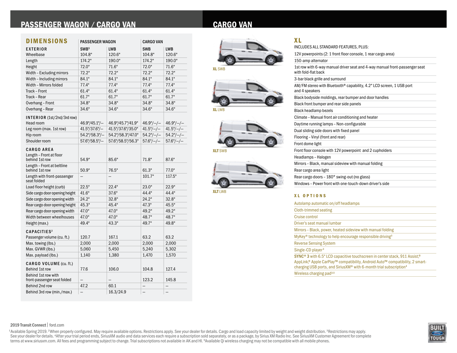## PASSENGER WAGON / CARGO VAN

| <b>CARGO VAN</b> |
|------------------|
|------------------|

| <b>DIMENSIONS</b>                                              | <b>PASSENGER WAGON</b> |                   | <b>CARGO VAN</b>   |                    |  |
|----------------------------------------------------------------|------------------------|-------------------|--------------------|--------------------|--|
| <b>EXTERIOR</b>                                                | SWB <sup>1</sup>       | <b>LWB</b>        | <b>SWB</b>         | LWB                |  |
| Wheelbase                                                      | 104.8"                 | 120.6"            | 104.8"             | 120.6"             |  |
| Length                                                         | 174.2"                 | 190.0"            | 174.2"             | 190.0"             |  |
| Height                                                         | 72.0"                  | 71.6"             | 72.0"              | 71.6"              |  |
| Width - Excluding mirrors                                      | 72.2"                  | 72.2"             | 72.2"              | 72.2"              |  |
| Width - Including mirrors                                      | 84.1"                  | 84.1"             | 84.1"              | 84.1"              |  |
| Width - Mirrors folded                                         | 77.4"                  | 77.4"             | 77.4"              | 77.4"              |  |
| Track - Front                                                  | 61.4"                  | 61.4"             | 61.4"              | 61.4"              |  |
| Track - Rear                                                   | 61.7"                  | 61.7"             | 61.7"              | 61.7"              |  |
| Overhang - Front                                               | 34.8"                  | 34.8"             | 34.8"              | 34.8"              |  |
| Overhang - Rear                                                | 34.6"                  | 34.6"             | 34.6"              | 34.6"              |  |
| INTERIOR (1st/2nd/3rd row)<br>Head room                        | 46.9"/45.1"/-          | 46.9"/45.7"/41.9" | $46.9^{\circ}/-/-$ | $46.9^{\circ}/-/-$ |  |
| Leg room (max. 1st row)                                        | $41.5''/37.6''/ -$     | 41.5"/37.6"/35.0" | $41.5^{\circ}/-/-$ | $41.5^{\circ}/-/-$ |  |
| Hip room                                                       | 54.2"/58.3"/-          | 54.2"/58.3"/47.0" | $54.2^{\circ}/-/-$ | $54.2^{\circ}/-/-$ |  |
| Shoulder room                                                  | $57.6$ "/58.5"/ $-$    | 57.6"/58.5"/56.3" | $57.6^{\circ}/-/-$ | $57.6^{\circ}/-/-$ |  |
| <b>CARGO AREA</b><br>Length - Front at floor<br>behind 1st row | 54.9"                  | 85.6"             | 71.8"              | 87.6"              |  |
| Length - Front at beltline<br>behind 1st row                   | 50.9"                  | 76.5"<br>61.3"    |                    | 77.0"              |  |
| Length with front-passenger<br>seat folded                     |                        |                   | 101.7"             | 117.5"             |  |
| Load floor height (curb)                                       | 22.5"                  | 22.4"             | 23.0"              | 22.9"              |  |
| Side cargo door opening height                                 | 41.6"                  | 37.6"             | 44.4"              | 44.4"              |  |
| Side cargo door opening width                                  | 24.2"                  | 32.8"             | 24.2"              | 32.8"              |  |
| Rear cargo door opening height                                 | 45.3"                  | 45.4"             | 47.3"              | 45.5"              |  |
| Rear cargo door opening width                                  | 47.0"                  | 47.0"             | 49.2"              | 49.2"              |  |
| Width between wheelhouses                                      | 47.0"                  | 47.0"             | 48.7"              | 48.7"              |  |
| Height (max.)                                                  | 49.4"                  | 43.3"             | 49.7"              | 49.8"              |  |
| CAPACITIES <sup>2</sup><br>Passenger volume (cu. ft.)          | 120.7                  | 167.1             | 63.2               | 63.2               |  |
| Max. towing (lbs.)                                             | 2,000                  | 2,000             | 2,000              | 2,000              |  |
| Max. GVWR (lbs.)                                               | 5,060                  | 5,450             | 5,240              | 5,302              |  |
| Max. payload (lbs.)                                            | 1,140                  | 1,380             | 1,470              | 1,570              |  |
| CARGO VOLUME (cu. ft.)<br>Behind 1st row                       | 77.6                   | 106.0             | 104.8              | 127.4              |  |
| Behind 1st row with<br>front-passenger seat folded             |                        |                   | 123.2              | 145.8              |  |
| Behind 2nd row                                                 | 47.2                   | 60.1              | —                  | $\qquad \qquad -$  |  |
| Behind 3rd row (min./max.)                                     |                        | 16.3/24.9         |                    |                    |  |







XLT SWB



XLT LWB

| INCLUDES ALL STANDARD FEATURES, PLUS:                                                              |  |
|----------------------------------------------------------------------------------------------------|--|
| 12V powerpoints (2: 1 front floor console, 1 rear cargo area)                                      |  |
| 150-amp alternator                                                                                 |  |
| 1st row with 6-way manual driver seat and 4-way manual front-passenger seat<br>with fold-flat back |  |
| 3-bar black grille and surround                                                                    |  |
| AM/FM stereo with Bluetooth® capability, 4.2" LCD screen, 1 USB port<br>and 4 speakers             |  |
| Black bodyside moldings, rear bumper and door handles                                              |  |
| Black front bumper and rear side panels                                                            |  |
| Black headlamp bezels                                                                              |  |
| Climate - Manual front air conditioning and heater                                                 |  |
| Daytime running lamps - Non-configurable                                                           |  |
| Dual sliding side doors with fixed panel                                                           |  |
| Flooring - Vinyl (front and rear)                                                                  |  |
| Front dome light                                                                                   |  |
| Front floor console with 12V powerpoint and 2 cupholders                                           |  |
| Headlamps - Halogen                                                                                |  |
| Mirrors - Black, manual sideview with manual folding                                               |  |
| Rear cargo area light                                                                              |  |
| Rear cargo doors - 180° swing-out (no glass)                                                       |  |
| Windows - Power front with one-touch-down driver's side                                            |  |
|                                                                                                    |  |

#### XL OPTIONS

XL

| Autolamp automatic on/off headlamps                                                                                                                                                                                                                                               |
|-----------------------------------------------------------------------------------------------------------------------------------------------------------------------------------------------------------------------------------------------------------------------------------|
| Cloth-trimmed seating                                                                                                                                                                                                                                                             |
| Cruise control                                                                                                                                                                                                                                                                    |
| Driver's seat manual lumbar                                                                                                                                                                                                                                                       |
| Mirrors - Black, power, heated sideview with manual folding                                                                                                                                                                                                                       |
| MyKey® technology to help encourage responsible driving <sup>3</sup>                                                                                                                                                                                                              |
| <b>Reverse Sensing System</b>                                                                                                                                                                                                                                                     |
| Single-CD player <sup>3</sup>                                                                                                                                                                                                                                                     |
| SYNC <sup>®</sup> 3 with 6.5" LCD capacitive touchscreen in center stack, 911 Assist, <sup>®</sup><br>AppLink® Apple CarPlay™ compatibility, Android Auto™ compatibility, 2 smart-<br>charging USB ports, and Sirius XM <sup>®</sup> with 6-month trial subscription <sup>4</sup> |
| Wireless charging pad <sup>3,5</sup>                                                                                                                                                                                                                                              |

#### 2019 Transit Connect| ford.com

<sup>1</sup>Available Spring 2019. <sup>2</sup>When properly configured. May require available options. Restrictions apply. See your dealer for details. Cargo and load capacity limited by weight and weight distribution. <sup>3</sup>Restrictions may

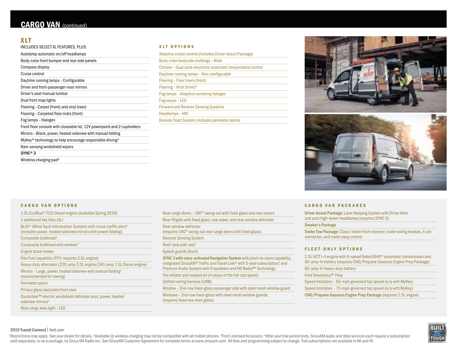## XLT

| INCLUDES SELECT XL FEATURES, PLUS:                                               |
|----------------------------------------------------------------------------------|
| Autolamp automatic on/off headlamps                                              |
| Body-color front bumper and rear side panels                                     |
| Compass display                                                                  |
| Cruise control                                                                   |
| Daytime running lamps - Configurable                                             |
| Driver and front-passenger visor mirrors                                         |
| Driver's seat manual lumbar                                                      |
| Dual front map lights                                                            |
| Flooring - Carpet (front) and vinyl (rear)                                       |
| Flooring - Carpeted floor mats (front)                                           |
| Fog lamps - Halogen                                                              |
| Front floor console with closeable lid, 12V powerpoint and 2 cupholders          |
| Mirrors - Black, power, heated sideview with manual folding                      |
| MyKey <sup>®</sup> technology to help encourage responsible driving <sup>1</sup> |
| Rain-sensing windshield wipers                                                   |
| $SYNC^{\circ}3$                                                                  |
| Wireless charging pad <sup>2</sup>                                               |

#### XLT OPTIONS

| Adaptive cruise control (includes Driver-Assist Package)     |
|--------------------------------------------------------------|
| Body-color bodyside moldings - Wide                          |
| Climate – Dual-zone electronic automatic temperature control |
| Daytime running lamps - Non-configurable                     |
| Flooring - Floor liners (front)                              |
| Flooring – Vinyl (front) <sup>1</sup>                        |
| Fog lamps - Adaptive cornering halogen                       |
| Fog lamps - LED                                              |
| <b>Forward and Reverse Sensing Systems</b>                   |
| Headlamps - HID                                              |
| Remote Start System (includes perimeter alarm)               |
|                                                              |





#### CARGO VAN OPTIONS

| 1.5L EcoBlue <sup>®</sup> TCDi Diesel engine (available Spring 2019)                                                                                    |  |
|---------------------------------------------------------------------------------------------------------------------------------------------------------|--|
| 2 additional key fobs (XL)                                                                                                                              |  |
| BLIS <sup>®</sup> (Blind Spot Information System) with cross-traffic alert <sup>1</sup><br>(includes power, heated sideview mirrors with power-folding) |  |
| Composite bulkhead <sup>3</sup>                                                                                                                         |  |
| Composite bulkhead with window <sup>3</sup>                                                                                                             |  |
| Engine block heater                                                                                                                                     |  |
| Flex Fuel capability (FFV; requires 2.0L engine)                                                                                                        |  |
| Heavy-duty alternator (220-amp 2.0L engine/240-amp 1.5L Diesel engine)                                                                                  |  |
| Mirrors - Large, power, heated sideview with manual folding <sup>1</sup><br>(recommended for towing)                                                    |  |
| Perimeter alarm                                                                                                                                         |  |
| Privacy glass (excludes front row)                                                                                                                      |  |
| Quickclear™ electric windshield defroster plus, power, heated<br>sideview mirrors <sup>1</sup>                                                          |  |
| Rear cargo area light - LED                                                                                                                             |  |

|                                   | Rear liftgate with fixed glass, rear wiper, and rear-window defroster                                                                                                                                                         |
|-----------------------------------|-------------------------------------------------------------------------------------------------------------------------------------------------------------------------------------------------------------------------------|
| Rear-window defroster             | (requires 180° swing-out rear cargo doors with fixed glass)                                                                                                                                                                   |
| <b>Reverse Sensing System</b>     |                                                                                                                                                                                                                               |
| Roof-rack side rails <sup>1</sup> |                                                                                                                                                                                                                               |
| Splash guards (front)             |                                                                                                                                                                                                                               |
|                                   | SYNC 3 with voice-activated Navigation System with pinch-to-zoom capability.<br>integrated SiriusXM® Traffic and Travel Link® with 5-year subscription,4 and<br>Premium Audio System with 9 speakers and HD Radio™ Technology |
|                                   | Tire inflator and sealant kit (in place of the full-size spare)                                                                                                                                                               |
|                                   | Upfitter wiring harness (LWB)                                                                                                                                                                                                 |
|                                   | Window – 2nd-row fixed-glass passenger side with steel mesh window guard                                                                                                                                                      |
|                                   | Windows - 2nd-row fixed-glass with steel mesh window guards<br>(requires fixed rear door glass)                                                                                                                               |

#### CARGO VAN PACKAGES

Driver-Assist Package: Lane-Keeping System with Driver Alert and auto high-beam headlamps (requires SYNC 3)

#### Smoker's Package

Trailer Tow Package: Class I trailer hitch receiver, trailer wiring module, 4-pin connector, and trailer sway control

#### FLEET-ONLY OPTIONS

2.5L iVCT I-4 engine with 6-speed SelectShift® automatic transmission and 60-amp-hr battery (requires CNG/Propane Gaseous Engine Prep Package)

80-amp-hr heavy-duty battery

Ford Telematics™ Prep

Speed limitation – 65-mph governed top speed (n/a with MyKey)

Speed limitation – 75-mph governed top speed (n/a with MyKey)

CNG/Propane Gaseous Engine Prep Package (requires 2.5L engine)



### 2019 Transit Connect| ford.com

<sup>1</sup>Restrictions may apply. See your dealer for details. <sup>2</sup>Available Qi wireless charging may not be compatible with all mobile phones. <sup>3</sup>Ford Licensed Accessory. <sup>4</sup>After your trial period ends, SiriusXM audio and data s